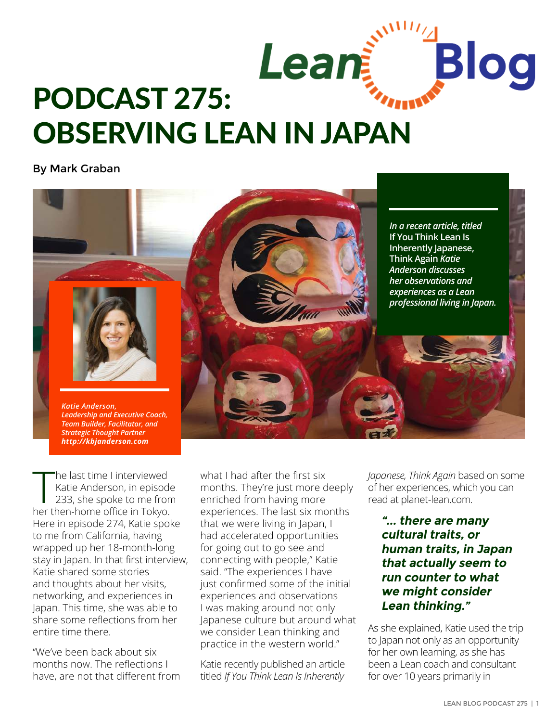

By Mark Graban



The last time I interviewed<br>Katie Anderson, in episode<br>233, she spoke to me from<br>her then-home office in Tokyo. he last time I interviewed Katie Anderson, in [episode](http://www.leanblog.org/2015/10/podcast-233-katie-anderson-a-lean-thinker-living-in-japan/)  [233,](http://www.leanblog.org/2015/10/podcast-233-katie-anderson-a-lean-thinker-living-in-japan/) she spoke to me from Here in episode 274, Katie spoke to me from California, having wrapped up her 18-month-long stay in Japan. In that first interview, Katie shared some stories and thoughts about her visits, networking, and experiences in Japan. This time, she was able to share some reflections from her entire time there.

*[Strategic Thought Partner](https://www.qimacros.com) [http://kbjanderson.com](https://www.qimacros.com)*

"We've been back about six months now. The reflections I have, are not that different from

what I had after the first six months. They're just more deeply enriched from having more experiences. The last six months that we were living in Japan, I had accelerated opportunities for going out to go see and connecting with people," Katie said. "The experiences I have just confirmed some of the initial experiences and observations I was making around not only Japanese culture but around what we consider Lean thinking and practice in the western world."

Katie recently published an article titled *[If You Think Lean Is Inherently](http://planet-lean.com/japanese-culture-and-lean-culture-not-always-the-same-thing)* 

*[Japanese, Think Again](http://planet-lean.com/japanese-culture-and-lean-culture-not-always-the-same-thing)* based on some of her experiences, which you can read at [planet-lean.com](http://planet-lean.com/japanese-culture-and-lean-culture-not-always-the-same-thing).

**"... there are many cultural traits, or human traits, in Japan that actually seem to run counter to what we might consider Lean thinking."**

As she explained, Katie used the trip to Japan not only as an opportunity for her own learning, as she has been a Lean coach and consultant for over 10 years primarily in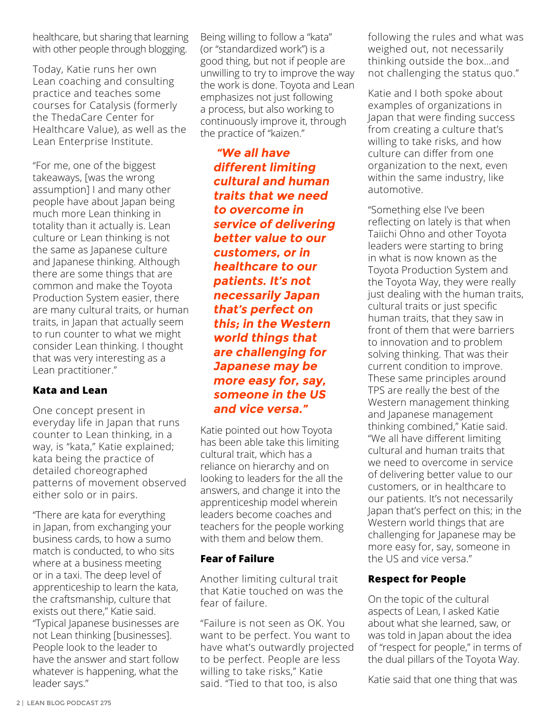healthcare, but sharing that learning with other people through [blogging.](http://kbjanderson.com)

Today, Katie runs her own Lean coaching and consulting practice and teaches some courses for [Catalysis](https://createvalue.org/who-we-are/faculty/) (formerly the ThedaCare Center for Healthcare Value), as well as the [Lean Enterprise Institute](http://www.lean.org/WhoWeAre/LeanPerson.cfm%3FLeanPersonId%3D252).

"For me, one of the biggest takeaways, [was the wrong assumption] I and many other people have about Japan being much more Lean thinking in totality than it actually is. Lean culture or Lean thinking is not the same as Japanese culture and Japanese thinking. Although there are some things that are common and make the Toyota Production System easier, there are many cultural traits, or human traits, in Japan that actually seem to run counter to what we might consider Lean thinking. I thought that was very interesting as a Lean practitioner."

### **Kata and Lean**

One concept present in everyday life in Japan that runs counter to Lean thinking, in a way, is "kata," Katie explained; kata being the practice of detailed choreographed patterns of movement observed either solo or in pairs.

"There are kata for everything in Japan, from exchanging your business cards, to how a sumo match is conducted, to who sits where at a business meeting or in a taxi. The deep level of apprenticeship to learn the kata, the craftsmanship, culture that exists out there," Katie said. "Typical Japanese businesses are not Lean thinking [businesses]. People look to the leader to have the answer and start follow whatever is happening, what the leader says."

Being willing to follow a "kata" (or "standardized work") is a good thing, but not if people are unwilling to try to improve the way the work is done. Toyota and Lean emphasizes not just following a process, but also working to continuously improve it, through the practice of "kaizen."

 **"We all have different limiting cultural and human traits that we need to overcome in service of delivering better value to our customers, or in healthcare to our patients. It's not necessarily Japan that's perfect on this; in the Western world things that are challenging for Japanese may be more easy for, say, someone in the US and vice versa."**

Katie pointed out how Toyota has been able take this limiting cultural trait, which has a reliance on hierarchy and on looking to leaders for the all the answers, and change it into the apprenticeship model wherein leaders become coaches and teachers for the people working with them and below them.

#### **Fear of Failure**

Another limiting cultural trait that Katie touched on was the fear of failure.

"Failure is not seen as OK. You want to be perfect. You want to have what's outwardly projected to be perfect. People are less willing to take risks," Katie said. "Tied to that too, is also

following the rules and what was weighed out, not necessarily thinking outside the box…and not challenging the status quo."

Katie and I both spoke about examples of organizations in Japan that were finding success from creating a culture that's willing to take risks, and how culture can differ from one organization to the next, even within the same industry, like automotive.

"Something else I've been reflecting on lately is that when Taiichi Ohno and other Toyota leaders were starting to bring in what is now known as the Toyota Production System and the Toyota Way, they were really just dealing with the human traits, cultural traits or just specific human traits, that they saw in front of them that were barriers to innovation and to problem solving thinking. That was their current condition to improve. These same principles around TPS are really the best of the Western management thinking and Japanese management thinking combined," Katie said. "We all have different limiting cultural and human traits that we need to overcome in service of delivering better value to our customers, or in healthcare to our patients. It's not necessarily Japan that's perfect on this; in the Western world things that are challenging for Japanese may be more easy for, say, someone in the US and vice versa."

### **Respect for People**

On the topic of the cultural aspects of Lean, I asked Katie about what she learned, saw, or was told in Japan about the idea of "respect for people," in terms of the dual pillars of the Toyota Way.

Katie said that one thing that was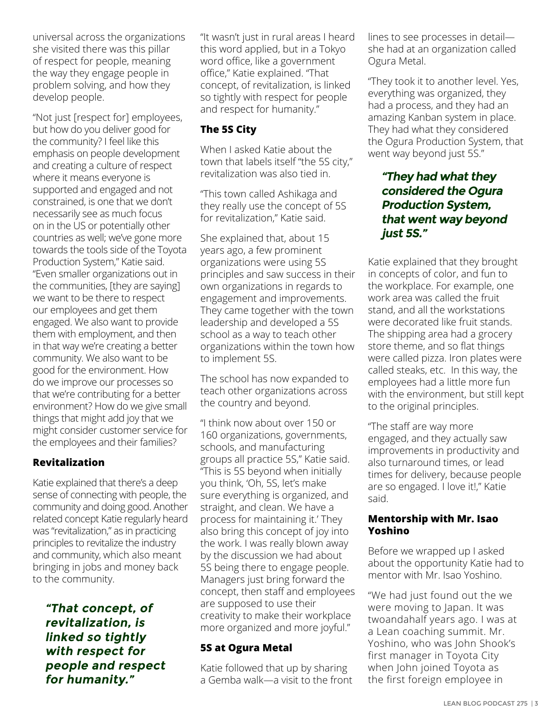universal across the organizations she visited there was this pillar of respect for people, meaning the way they engage people in problem solving, and how they develop people.

"Not just [respect for] employees, but how do you deliver good for the community? I feel like this emphasis on people development and creating a culture of respect where it means everyone is supported and engaged and not constrained, is one that we don't necessarily see as much focus on in the US or potentially other countries as well; we've gone more towards the tools side of the Toyota Production System," Katie said. "Even smaller organizations out in the communities, [they are saying] we want to be there to respect our employees and get them engaged. We also want to provide them with employment, and then in that way we're creating a better community. We also want to be good for the environment. How do we improve our processes so that we're contributing for a better environment? How do we give small things that might add joy that we might consider customer service for the employees and their families?

# **Revitalization**

Katie explained that there's a deep sense of connecting with people, the community and doing good. Another related concept Katie regularly heard was "revitalization," as in practicing principles to revitalize the industry and community, which also meant bringing in jobs and money back to the community.

**"That concept, of revitalization, is linked so tightly with respect for people and respect for humanity."**

"It wasn't just in rural areas I heard this word applied, but in a Tokyo word office, like a government office," Katie explained. "That concept, of revitalization, is linked so tightly with respect for people and respect for humanity."

## **The 5S City**

When I asked Katie about the town that labels itself "the 5S city," revitalization was also tied in.

"This town called Ashikaga and they really use the concept of 5S for revitalization," Katie said.

She explained that, about 15 years ago, a few prominent organizations were using 5S principles and saw success in their own organizations in regards to engagement and improvements. They came together with the town leadership and developed a 5S school as a way to teach other organizations within the town how to implement 5S.

The school has now expanded to teach other organizations across the country and beyond.

"I think now about over 150 or 160 organizations, governments, schools, and manufacturing groups all practice 5S," Katie said. "This is 5S beyond when initially you think, 'Oh, 5S, let's make sure everything is organized, and straight, and clean. We have a process for maintaining it.' They also bring this concept of joy into the work. I was really blown away by the discussion we had about 5S being there to engage people. Managers just bring forward the concept, then staff and employees are supposed to use their creativity to make their workplace more organized and more joyful."

### **5S at Ogura Metal**

Katie followed that up by sharing a Gemba walk—a visit to the front lines to see processes in detail she had at an organization called Ogura Metal.

"They took it to another level. Yes, everything was organized, they had a process, and they had an amazing Kanban system in place. They had what they considered the Ogura Production System, that went way beyond just 5S."

# **"They had what they considered the Ogura Production System, that went way beyond just 5S."**

Katie explained that they brought in concepts of color, and fun to the workplace. For example, one work area was called the fruit stand, and all the workstations were decorated like fruit stands. The shipping area had a grocery store theme, and so flat things were called pizza. Iron plates were called steaks, etc. In this way, the employees had a little more fun with the environment, but still kept to the original principles.

"The staff are way more engaged, and they actually saw improvements in productivity and also turnaround times, or lead times for delivery, because people are so engaged. I love it!," Katie said.

#### **Mentorship with Mr. Isao Yoshino**

Before we wrapped up I asked about the opportunity Katie had to mentor with Mr. Isao Yoshino.

"We had just found out the we were moving to Japan. It was twoandahalf years ago. I was at a Lean coaching summit. Mr. Yoshino, who was John Shook's first manager in Toyota City when John joined Toyota as the first foreign employee in